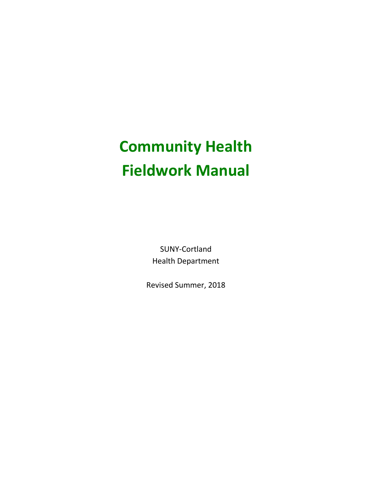# **Community Health Fieldwork Manual**

SUNY-Cortland Health Department

Revised Summer, 2018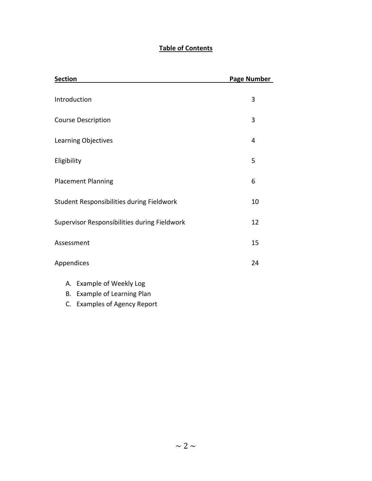# **Table of Contents**

| <b>Section</b>                               | Page Number |
|----------------------------------------------|-------------|
| Introduction                                 | 3           |
| <b>Course Description</b>                    | 3           |
| Learning Objectives                          | 4           |
| Eligibility                                  | 5           |
| <b>Placement Planning</b>                    | 6           |
| Student Responsibilities during Fieldwork    | 10          |
| Supervisor Responsibilities during Fieldwork | 12          |
| Assessment                                   | 15          |
| Appendices                                   | 24          |
| A. Example of Weekly Log                     |             |

- B. Example of Learning Plan
- C. Examples of Agency Report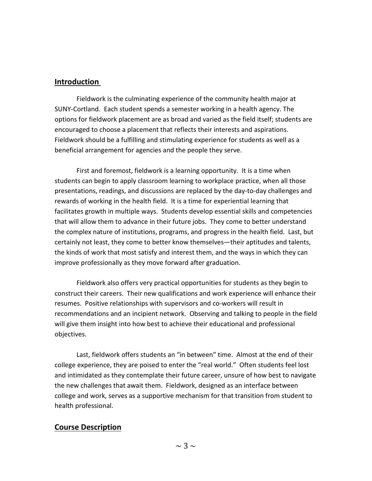# **Introduction**

Fieldwork is the culminating experience of the community health major at SUNY-Cortland. Each student spends a semester working in a health agency. The options for fieldwork placement are as broad and varied as the field itself; students are encouraged to choose a placement that reflects their interests and aspirations. Fieldwork should be a fulfilling and stimulating experience for students as well as a beneficial arrangement for agencies and the people they serve.

First and foremost, fieldwork is a learning opportunity. It is a time when students can begin to apply classroom learning to workplace practice, when all those presentations, readings, and discussions are replaced by the day-to-day challenges and rewards of working in the health field. It is a time for experiential learning that facilitates growth in multiple ways. Students develop essential skills and competencies that will allow them to advance in their future jobs. They come to better understand the complex nature of institutions, programs, and progress in the health field. Last, but certainly not least, they come to better know themselves—their aptitudes and talents, the kinds of work that most satisfy and interest them, and the ways in which they can improve professionally as they move forward after graduation.

Fieldwork also offers very practical opportunities for students as they begin to construct their careers. Their new qualifications and work experience will enhance their resumes. Positive relationships with supervisors and co-workers will result in recommendations and an incipient network. Observing and talking to people in the field will give them insight into how best to achieve their educational and professional objectives.

Last, fieldwork offers students an "in between" time. Almost at the end of their college experience, they are poised to enter the "real world." Often students feel lost and intimidated as they contemplate their future career, unsure of how best to navigate the new challenges that await them. Fieldwork, designed as an interface between college and work, serves as a supportive mechanism for that transition from student to health professional.

# **Course Description**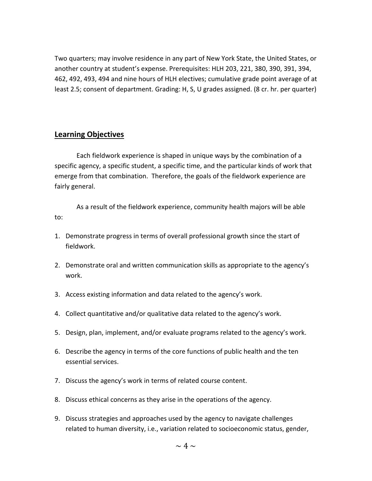Two quarters; may involve residence in any part of New York State, the United States, or another country at student's expense. Prerequisites: HLH 203, 221, 380, 390, 391, 394, 462, 492, 493, 494 and nine hours of HLH electives; cumulative grade point average of at least 2.5; consent of department. Grading: H, S, U grades assigned. (8 cr. hr. per quarter)

# **Learning Objectives**

Each fieldwork experience is shaped in unique ways by the combination of a specific agency, a specific student, a specific time, and the particular kinds of work that emerge from that combination. Therefore, the goals of the fieldwork experience are fairly general.

As a result of the fieldwork experience, community health majors will be able to:

- 1. Demonstrate progress in terms of overall professional growth since the start of fieldwork.
- 2. Demonstrate oral and written communication skills as appropriate to the agency's work.
- 3. Access existing information and data related to the agency's work.
- 4. Collect quantitative and/or qualitative data related to the agency's work.
- 5. Design, plan, implement, and/or evaluate programs related to the agency's work.
- 6. Describe the agency in terms of the core functions of public health and the ten essential services.
- 7. Discuss the agency's work in terms of related course content.
- 8. Discuss ethical concerns as they arise in the operations of the agency.
- 9. Discuss strategies and approaches used by the agency to navigate challenges related to human diversity, i.e., variation related to socioeconomic status, gender,

 $\sim 4 \sim$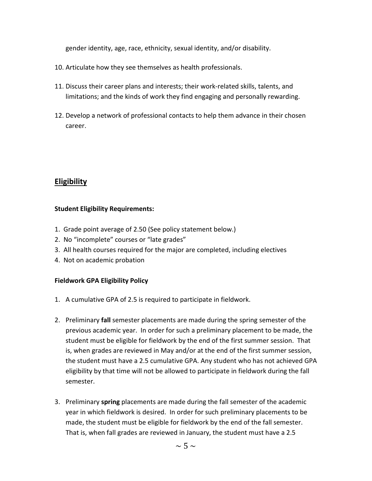gender identity, age, race, ethnicity, sexual identity, and/or disability.

- 10. Articulate how they see themselves as health professionals.
- 11. Discuss their career plans and interests; their work-related skills, talents, and limitations; and the kinds of work they find engaging and personally rewarding.
- 12. Develop a network of professional contacts to help them advance in their chosen career.

# **Eligibility**

## **Student Eligibility Requirements:**

- 1. Grade point average of 2.50 (See policy statement below.)
- 2. No "incomplete" courses or "late grades"
- 3. All health courses required for the major are completed, including electives
- 4. Not on academic probation

## **Fieldwork GPA Eligibility Policy**

- 1. A cumulative GPA of 2.5 is required to participate in fieldwork.
- 2. Preliminary **fall** semester placements are made during the spring semester of the previous academic year. In order for such a preliminary placement to be made, the student must be eligible for fieldwork by the end of the first summer session. That is, when grades are reviewed in May and/or at the end of the first summer session, the student must have a 2.5 cumulative GPA. Any student who has not achieved GPA eligibility by that time will not be allowed to participate in fieldwork during the fall semester.
- 3. Preliminary **spring** placements are made during the fall semester of the academic year in which fieldwork is desired. In order for such preliminary placements to be made, the student must be eligible for fieldwork by the end of the fall semester. That is, when fall grades are reviewed in January, the student must have a 2.5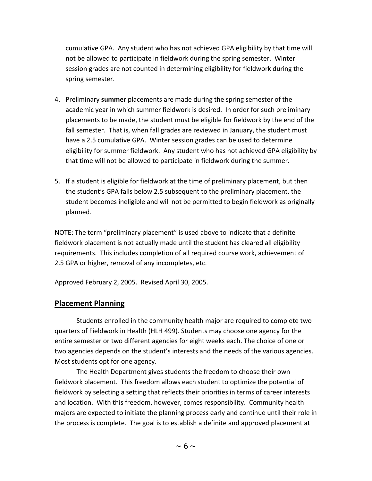cumulative GPA. Any student who has not achieved GPA eligibility by that time will not be allowed to participate in fieldwork during the spring semester. Winter session grades are not counted in determining eligibility for fieldwork during the spring semester.

- 4. Preliminary **summer** placements are made during the spring semester of the academic year in which summer fieldwork is desired. In order for such preliminary placements to be made, the student must be eligible for fieldwork by the end of the fall semester. That is, when fall grades are reviewed in January, the student must have a 2.5 cumulative GPA. Winter session grades can be used to determine eligibility for summer fieldwork. Any student who has not achieved GPA eligibility by that time will not be allowed to participate in fieldwork during the summer.
- 5. If a student is eligible for fieldwork at the time of preliminary placement, but then the student's GPA falls below 2.5 subsequent to the preliminary placement, the student becomes ineligible and will not be permitted to begin fieldwork as originally planned.

NOTE: The term "preliminary placement" is used above to indicate that a definite fieldwork placement is not actually made until the student has cleared all eligibility requirements. This includes completion of all required course work, achievement of 2.5 GPA or higher, removal of any incompletes, etc.

Approved February 2, 2005. Revised April 30, 2005.

# **Placement Planning**

Students enrolled in the community health major are required to complete two quarters of Fieldwork in Health (HLH 499). Students may choose one agency for the entire semester or two different agencies for eight weeks each. The choice of one or two agencies depends on the student's interests and the needs of the various agencies. Most students opt for one agency.

The Health Department gives students the freedom to choose their own fieldwork placement. This freedom allows each student to optimize the potential of fieldwork by selecting a setting that reflects their priorities in terms of career interests and location. With this freedom, however, comes responsibility. Community health majors are expected to initiate the planning process early and continue until their role in the process is complete. The goal is to establish a definite and approved placement at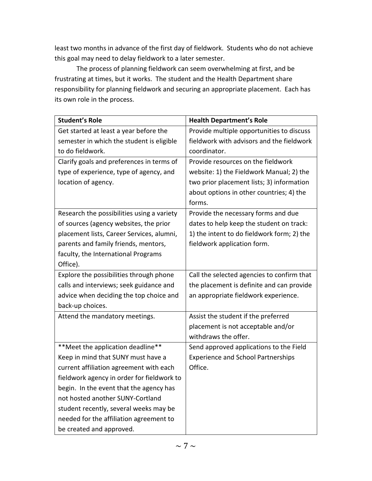least two months in advance of the first day of fieldwork. Students who do not achieve this goal may need to delay fieldwork to a later semester.

The process of planning fieldwork can seem overwhelming at first, and be frustrating at times, but it works. The student and the Health Department share responsibility for planning fieldwork and securing an appropriate placement. Each has its own role in the process.

| <b>Student's Role</b>                      | <b>Health Department's Role</b>            |
|--------------------------------------------|--------------------------------------------|
| Get started at least a year before the     | Provide multiple opportunities to discuss  |
| semester in which the student is eligible  | fieldwork with advisors and the fieldwork  |
| to do fieldwork.                           | coordinator.                               |
| Clarify goals and preferences in terms of  | Provide resources on the fieldwork         |
| type of experience, type of agency, and    | website: 1) the Fieldwork Manual; 2) the   |
| location of agency.                        | two prior placement lists; 3) information  |
|                                            | about options in other countries; 4) the   |
|                                            | forms.                                     |
| Research the possibilities using a variety | Provide the necessary forms and due        |
| of sources (agency websites, the prior     | dates to help keep the student on track:   |
| placement lists, Career Services, alumni,  | 1) the intent to do fieldwork form; 2) the |
| parents and family friends, mentors,       | fieldwork application form.                |
| faculty, the International Programs        |                                            |
| Office).                                   |                                            |
| Explore the possibilities through phone    | Call the selected agencies to confirm that |
| calls and interviews; seek guidance and    | the placement is definite and can provide  |
| advice when deciding the top choice and    | an appropriate fieldwork experience.       |
| back-up choices.                           |                                            |
| Attend the mandatory meetings.             | Assist the student if the preferred        |
|                                            | placement is not acceptable and/or         |
|                                            | withdraws the offer.                       |
| ** Meet the application deadline**         | Send approved applications to the Field    |
| Keep in mind that SUNY must have a         | <b>Experience and School Partnerships</b>  |
| current affiliation agreement with each    | Office.                                    |
| fieldwork agency in order for fieldwork to |                                            |
| begin. In the event that the agency has    |                                            |
| not hosted another SUNY-Cortland           |                                            |
| student recently, several weeks may be     |                                            |
| needed for the affiliation agreement to    |                                            |
| be created and approved.                   |                                            |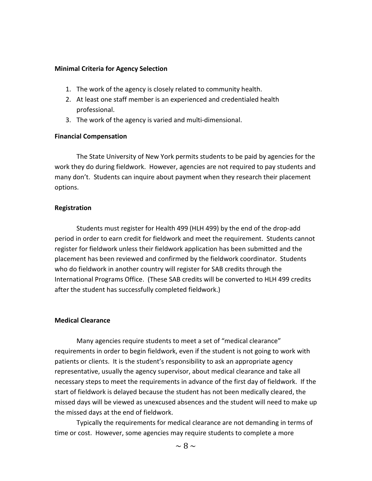#### **Minimal Criteria for Agency Selection**

- 1. The work of the agency is closely related to community health.
- 2. At least one staff member is an experienced and credentialed health professional.
- 3. The work of the agency is varied and multi-dimensional.

#### **Financial Compensation**

The State University of New York permits students to be paid by agencies for the work they do during fieldwork. However, agencies are not required to pay students and many don't. Students can inquire about payment when they research their placement options.

## **Registration**

Students must register for Health 499 (HLH 499) by the end of the drop-add period in order to earn credit for fieldwork and meet the requirement. Students cannot register for fieldwork unless their fieldwork application has been submitted and the placement has been reviewed and confirmed by the fieldwork coordinator. Students who do fieldwork in another country will register for SAB credits through the International Programs Office. (These SAB credits will be converted to HLH 499 credits after the student has successfully completed fieldwork.)

## **Medical Clearance**

Many agencies require students to meet a set of "medical clearance" requirements in order to begin fieldwork, even if the student is not going to work with patients or clients. It is the student's responsibility to ask an appropriate agency representative, usually the agency supervisor, about medical clearance and take all necessary steps to meet the requirements in advance of the first day of fieldwork. If the start of fieldwork is delayed because the student has not been medically cleared, the missed days will be viewed as unexcused absences and the student will need to make up the missed days at the end of fieldwork.

Typically the requirements for medical clearance are not demanding in terms of time or cost. However, some agencies may require students to complete a more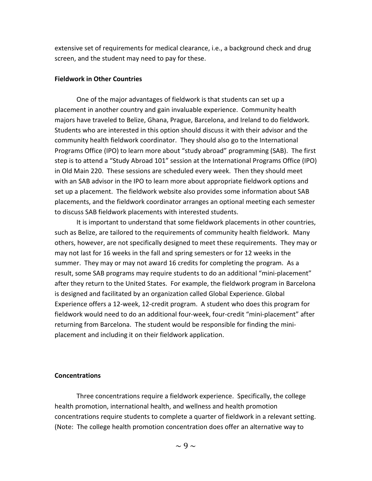extensive set of requirements for medical clearance, i.e., a background check and drug screen, and the student may need to pay for these.

#### **Fieldwork in Other Countries**

One of the major advantages of fieldwork is that students can set up a placement in another country and gain invaluable experience. Community health majors have traveled to Belize, Ghana, Prague, Barcelona, and Ireland to do fieldwork. Students who are interested in this option should discuss it with their advisor and the community health fieldwork coordinator. They should also go to the International Programs Office (IPO) to learn more about "study abroad" programming (SAB). The first step is to attend a "Study Abroad 101" session at the International Programs Office (IPO) in Old Main 220. These sessions are scheduled every week. Then they should meet with an SAB advisor in the IPO to learn more about appropriate fieldwork options and set up a placement. The fieldwork website also provides some information about SAB placements, and the fieldwork coordinator arranges an optional meeting each semester to discuss SAB fieldwork placements with interested students.

It is important to understand that some fieldwork placements in other countries, such as Belize, are tailored to the requirements of community health fieldwork. Many others, however, are not specifically designed to meet these requirements. They may or may not last for 16 weeks in the fall and spring semesters or for 12 weeks in the summer. They may or may not award 16 credits for completing the program. As a result, some SAB programs may require students to do an additional "mini-placement" after they return to the United States. For example, the fieldwork program in Barcelona is designed and facilitated by an organization called Global Experience. Global Experience offers a 12-week, 12-credit program. A student who does this program for fieldwork would need to do an additional four-week, four-credit "mini-placement" after returning from Barcelona. The student would be responsible for finding the miniplacement and including it on their fieldwork application.

#### **Concentrations**

Three concentrations require a fieldwork experience. Specifically, the college health promotion, international health, and wellness and health promotion concentrations require students to complete a quarter of fieldwork in a relevant setting. (Note: The college health promotion concentration does offer an alternative way to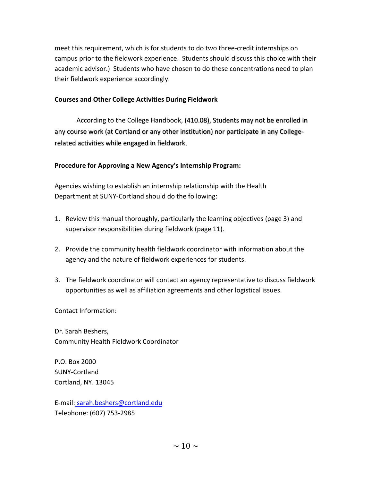meet this requirement, which is for students to do two three-credit internships on campus prior to the fieldwork experience. Students should discuss this choice with their academic advisor.) Students who have chosen to do these concentrations need to plan their fieldwork experience accordingly.

# **Courses and Other College Activities During Fieldwork**

According to the College Handbook, (410.08), Students may not be enrolled in any course work (at Cortland or any other institution) nor participate in any Collegerelated activities while engaged in fieldwork.

# **Procedure for Approving a New Agency's Internship Program:**

Agencies wishing to establish an internship relationship with the Health Department at SUNY-Cortland should do the following:

- 1. Review this manual thoroughly, particularly the learning objectives (page 3) and supervisor responsibilities during fieldwork (page 11).
- 2. Provide the community health fieldwork coordinator with information about the agency and the nature of fieldwork experiences for students.
- 3. The fieldwork coordinator will contact an agency representative to discuss fieldwork opportunities as well as affiliation agreements and other logistical issues.

Contact Information:

Dr. Sarah Beshers, Community Health Fieldwork Coordinator

P.O. Box 2000 SUNY-Cortland Cortland, NY. 13045

E-mail: sarah.beshers@cortland.edu Telephone: (607) 753-2985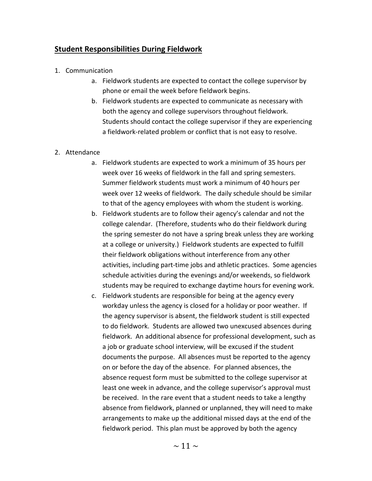# **Student Responsibilities During Fieldwork**

- 1. Communication
	- a. [Fieldwork students are expected to contact](http://www.cortland.edu/hlth/faculty2.html) the college supervisor by [phone or email](http://www.cortland.edu/hlth/faculty2.html) the week [before fieldwork](http://www.cortland.edu/hlth/faculty2.html) begins.
	- b. Fieldwork students are expected to communicate as necessary with both the agency and college supervisors throughout fieldwork. Students should contact the college supervisor if they are experiencing a fieldwork-related problem or conflict that is not easy to resolve.

## 2. Attendance

- a. Fieldwork students are expected to work a minimum of 35 hours per week over 16 weeks of fieldwork in the fall and spring semesters. Summer fieldwork students must work a minimum of 40 hours per week over 12 weeks of fieldwork. The daily schedule should be similar to that of the agency employees with whom the student is working.
- b. Fieldwork students are to follow their agency's calendar and not the college calendar. (Therefore, students who do their fieldwork during the spring semester do not have a spring break unless they are working at a college or university.) Fieldwork students are expected to fulfill their fieldwork obligations without interference from any other activities, including part-time jobs and athletic practices. Some agencies schedule activities during the evenings and/or weekends, so fieldwork students may be required to exchange daytime hours for evening work.
- c. Fieldwork students are responsible for being at the agency every workday unless the agency is closed for a holiday or poor weather. If the agency supervisor is absent, the fieldwork student is still expected to do fieldwork. Students are allowed two unexcused absences during fieldwork. An additional absence for professional development, such as a job or graduate school interview, will be excused if the student documents the purpose. All absences must be reported to the agency on or before the day of the absence. For planned absences, the absence request form must be submitted to the college supervisor at least one week in advance, and the college supervisor's approval must be received. In the rare event that a student needs to take a lengthy absence from fieldwork, planned or unplanned, they will need to make arrangements to make up the additional missed days at the end of the fieldwork period. This plan must be approved by both the agency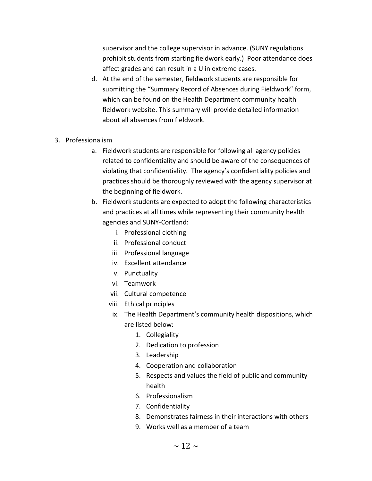supervisor and the college supervisor in advance. (SUNY regulations prohibit students from starting fieldwork early.) Poor attendance does affect grades and can result in a U in extreme cases.

- d. At the end of the semester, fieldwork students are responsible for submitting the "Summary Record of Absences during Fieldwork" form, which can be found on the Health Department community health fieldwork website. This summary will provide detailed information about all absences from fieldwork.
- 3. Professionalism
	- a. Fieldwork students are responsible for following all agency policies related to confidentiality and should be aware of the consequences of violating that confidentiality. The agency's confidentiality policies and practices should be thoroughly reviewed with the agency supervisor at the beginning of fieldwork.
	- b. Fieldwork students are expected to adopt the following characteristics and practices at all times while representing their community health agencies and SUNY-Cortland:
		- i. Professional clothing
		- ii. Professional conduct
		- iii. Professional language
		- iv. Excellent attendance
		- v. Punctuality
		- vi. Teamwork
		- vii. Cultural competence
		- viii. Ethical principles
		- ix. The Health Department's community health dispositions, which are listed below:
			- 1. Collegiality
			- 2. Dedication to profession
			- 3. Leadership
			- 4. Cooperation and collaboration
			- 5. Respects and values the field of public and community health
			- 6. Professionalism
			- 7. Confidentiality
			- 8. Demonstrates fairness in their interactions with others
			- 9. Works well as a member of a team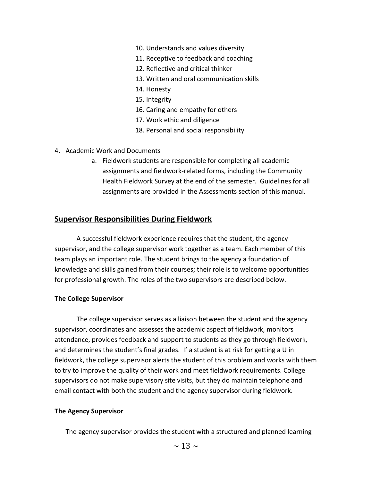- 10. Understands and values diversity
- 11. Receptive to feedback and coaching
- 12. Reflective and critical thinker
- 13. Written and oral communication skills
- 14. Honesty
- 15. Integrity
- 16. Caring and empathy for others
- 17. Work ethic and diligence
- 18. Personal and social responsibility
- 4. Academic Work and Documents
	- a. Fieldwork students are responsible for completing all academic assignments and fieldwork-related forms, including the Community Health Fieldwork Survey at the end of the semester. Guidelines for all assignments are provided in the Assessments section of this manual.

## **Supervisor Responsibilities During Fieldwork**

A successful fieldwork experience requires that the student, the agency supervisor, and the college supervisor work together as a team. Each member of this team plays an important role. The student brings to the agency a foundation of knowledge and skills gained from their courses; their role is to welcome opportunities for professional growth. The roles of the two supervisors are described below.

## **The College Supervisor**

The college supervisor serves as a liaison between the student and the agency supervisor, coordinates and assesses the academic aspect of fieldwork, monitors attendance, provides feedback and support to students as they go through fieldwork, and determines the student's final grades. If a student is at risk for getting a U in fieldwork, the college supervisor alerts the student of this problem and works with them to try to improve the quality of their work and meet fieldwork requirements. College supervisors do not make supervisory site visits, but they do maintain telephone and email contact with both the student and the agency supervisor during fieldwork.

#### **The Agency Supervisor**

The agency supervisor provides the student with a structured and planned learning

 $\sim$  13  $\sim$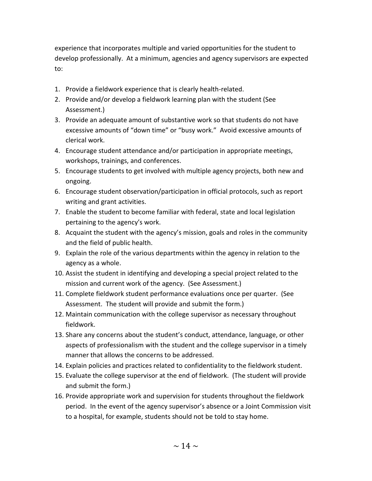experience that incorporates multiple and varied opportunities for the student to develop professionally. At a minimum, agencies and agency supervisors are expected to:

- 1. Provide a fieldwork experience that is clearly health-related.
- 2. Provide and/or develop a fieldwork learning plan with the student (See Assessment.)
- 3. Provide an adequate amount of substantive work so that students do not have excessive amounts of "down time" or "busy work." Avoid excessive amounts of clerical work.
- 4. Encourage student attendance and/or participation in appropriate meetings, workshops, trainings, and conferences.
- 5. Encourage students to get involved with multiple agency projects, both new and ongoing.
- 6. Encourage student observation/participation in official protocols, such as report writing and grant activities.
- 7. Enable the student to become familiar with federal, state and local legislation pertaining to the agency's work.
- 8. Acquaint the student with the agency's mission, goals and roles in the community and the field of public health.
- 9. Explain the role of the various departments within the agency in relation to the agency as a whole.
- 10. Assist the student in identifying and developing a special project related to the mission and current work of the agency. (See Assessment.)
- 11. Complete fieldwork student performance evaluations once per quarter. (See Assessment. The student will provide and submit the form.)
- 12. Maintain communication with the college supervisor as necessary throughout fieldwork.
- 13. Share any concerns about the student's conduct, attendance, language, or other aspects of professionalism with the student and the college supervisor in a timely manner that allows the concerns to be addressed.
- 14. Explain policies and practices related to confidentiality to the fieldwork student.
- 15. Evaluate the college supervisor at the end of fieldwork. (The student will provide and submit the form.)
- 16. Provide appropriate work and supervision for students throughout the fieldwork period. In the event of the agency supervisor's absence or a Joint Commission visit to a hospital, for example, students should not be told to stay home.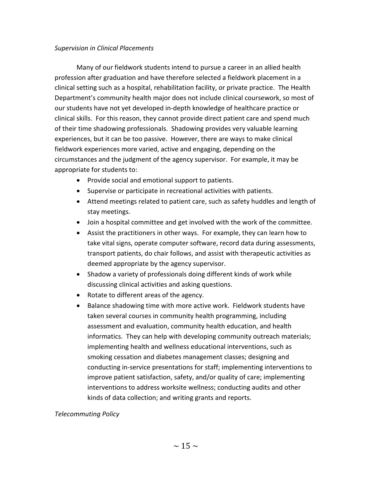## *Supervision in Clinical Placements*

 Many of our fieldwork students intend to pursue a career in an allied health profession after graduation and have therefore selected a fieldwork placement in a clinical setting such as a hospital, rehabilitation facility, or private practice. The Health Department's community health major does not include clinical coursework, so most of our students have not yet developed in-depth knowledge of healthcare practice or clinical skills. For this reason, they cannot provide direct patient care and spend much of their time shadowing professionals. Shadowing provides very valuable learning experiences, but it can be too passive. However, there are ways to make clinical fieldwork experiences more varied, active and engaging, depending on the circumstances and the judgment of the agency supervisor. For example, it may be appropriate for students to:

- Provide social and emotional support to patients.
- Supervise or participate in recreational activities with patients.
- Attend meetings related to patient care, such as safety huddles and length of stay meetings.
- Join a hospital committee and get involved with the work of the committee.
- Assist the practitioners in other ways. For example, they can learn how to take vital signs, operate computer software, record data during assessments, transport patients, do chair follows, and assist with therapeutic activities as deemed appropriate by the agency supervisor.
- Shadow a variety of professionals doing different kinds of work while discussing clinical activities and asking questions.
- Rotate to different areas of the agency.
- Balance shadowing time with more active work. Fieldwork students have taken several courses in community health programming, including assessment and evaluation, community health education, and health informatics. They can help with developing community outreach materials; implementing health and wellness educational interventions, such as smoking cessation and diabetes management classes; designing and conducting in-service presentations for staff; implementing interventions to improve patient satisfaction, safety, and/or quality of care; implementing interventions to address worksite wellness; conducting audits and other kinds of data collection; and writing grants and reports.

## *Telecommuting Policy*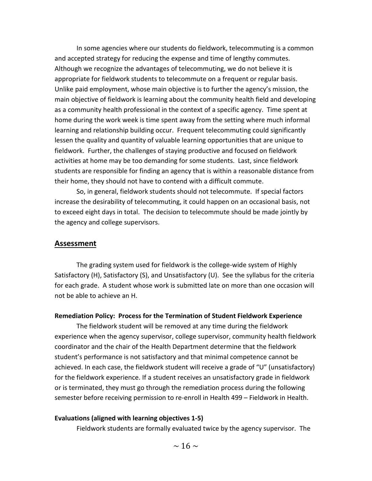In some agencies where our students do fieldwork, telecommuting is a common and accepted strategy for reducing the expense and time of lengthy commutes. Although we recognize the advantages of telecommuting, we do not believe it is appropriate for fieldwork students to telecommute on a frequent or regular basis. Unlike paid employment, whose main objective is to further the agency's mission, the main objective of fieldwork is learning about the community health field and developing as a community health professional in the context of a specific agency. Time spent at home during the work week is time spent away from the setting where much informal learning and relationship building occur. Frequent telecommuting could significantly lessen the quality and quantity of valuable learning opportunities that are unique to fieldwork. Further, the challenges of staying productive and focused on fieldwork activities at home may be too demanding for some students. Last, since fieldwork students are responsible for finding an agency that is within a reasonable distance from their home, they should not have to contend with a difficult commute.

So, in general, fieldwork students should not telecommute. If special factors increase the desirability of telecommuting, it could happen on an occasional basis, not to exceed eight days in total. The decision to telecommute should be made jointly by the agency and college supervisors.

#### **Assessment**

The grading system used for fieldwork is the college-wide system of Highly Satisfactory (H), Satisfactory (S), and Unsatisfactory (U). See the syllabus for the criteria for each grade. A student whose work is submitted late on more than one occasion will not be able to achieve an H.

#### **Remediation Policy: Process for the Termination of Student Fieldwork Experience**

The fieldwork student will be removed at any time during the fieldwork experience when the agency supervisor, college supervisor, community health fieldwork coordinator and the chair of the Health Department determine that the fieldwork student's performance is not satisfactory and that minimal competence cannot be achieved. In each case, the fieldwork student will receive a grade of "U" (unsatisfactory) for the fieldwork experience. If a student receives an unsatisfactory grade in fieldwork or is terminated, they must go through the remediation process during the following semester before receiving permission to re-enroll in Health 499 – Fieldwork in Health.

#### **Evaluations (aligned with learning objectives 1-5)**

Fieldwork students are formally evaluated twice by the agency supervisor. The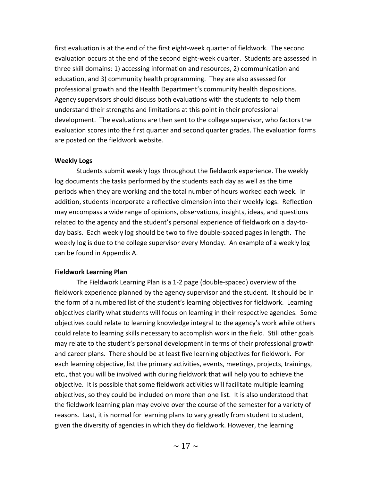first evaluation is at the end of the first eight-week quarter of fieldwork. The second evaluation occurs at the end of the second eight-week quarter. Students are assessed in three skill domains: 1) accessing information and resources, 2) communication and education, and 3) community health programming. They are also assessed for professional growth and the Health Department's community health dispositions. Agency supervisors should discuss both evaluations with the students to help them understand their strengths and limitations at this point in their professional development. The evaluations are then sent to the college supervisor, who factors the evaluation scores into the first quarter and second quarter grades. The evaluation forms are posted on the fieldwork website.

#### **Weekly Logs**

Students submit weekly logs throughout the fieldwork experience. The weekly log documents the tasks performed by the students each day as well as the time periods when they are working and the total number of hours worked each week. In addition, students incorporate a reflective dimension into their weekly logs. Reflection may encompass a wide range of opinions, observations, insights, ideas, and questions related to the agency and the student's personal experience of fieldwork on a day-today basis. Each weekly log should be two to five double-spaced pages in length. The weekly log is due to the college supervisor every Monday. An example of a weekly log can be found in Appendix A.

## **Fieldwork Learning Plan**

The Fieldwork Learning Plan is a 1-2 page (double-spaced) overview of the fieldwork experience planned by the agency supervisor and the student. It should be in the form of a numbered list of the student's learning objectives for fieldwork. Learning objectives clarify what students will focus on learning in their respective agencies. Some objectives could relate to learning knowledge integral to the agency's work while others could relate to learning skills necessary to accomplish work in the field. Still other goals may relate to the student's personal development in terms of their professional growth and career plans. There should be at least five learning objectives for fieldwork. For each learning objective, list the primary activities, events, meetings, projects, trainings, etc., that you will be involved with during fieldwork that will help you to achieve the objective. It is possible that some fieldwork activities will facilitate multiple learning objectives, so they could be included on more than one list. It is also understood that the fieldwork learning plan may evolve over the course of the semester for a variety of reasons. Last, it is normal for learning plans to vary greatly from student to student, given the diversity of agencies in which they do fieldwork. However, the learning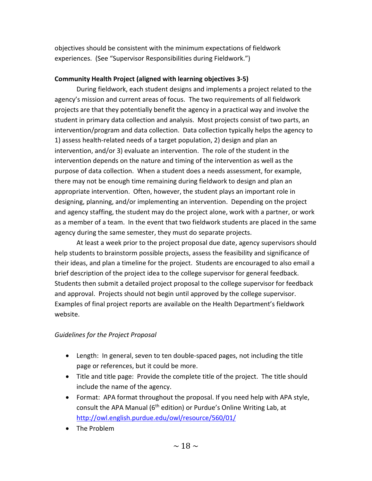objectives should be consistent with the minimum expectations of fieldwork experiences. (See "Supervisor Responsibilities during Fieldwork.")

# **Community Health Project (aligned with learning objectives 3-5)**

During fieldwork, each student designs and implements a project related to the agency's mission and current areas of focus. The two requirements of all fieldwork projects are that they potentially benefit the agency in a practical way and involve the student in primary data collection and analysis. Most projects consist of two parts, an intervention/program and data collection. Data collection typically helps the agency to 1) assess health-related needs of a target population, 2) design and plan an intervention, and/or 3) evaluate an intervention. The role of the student in the intervention depends on the nature and timing of the intervention as well as the purpose of data collection. When a student does a needs assessment, for example, there may not be enough time remaining during fieldwork to design and plan an appropriate intervention. Often, however, the student plays an important role in designing, planning, and/or implementing an intervention. Depending on the project and agency staffing, the student may do the project alone, work with a partner, or work as a member of a team. In the event that two fieldwork students are placed in the same agency during the same semester, they must do separate projects.

At least a week prior to the project proposal due date, agency supervisors should help students to brainstorm possible projects, assess the feasibility and significance of their ideas, and plan a timeline for the project. Students are encouraged to also email a brief description of the project idea to the college supervisor for general feedback. Students then submit a detailed project proposal to the college supervisor for feedback and approval. Projects should not begin until approved by the college supervisor. Examples of final project reports are available on the Health Department's fieldwork website.

# *Guidelines for the Project Proposal*

- Length: In general, seven to ten double-spaced pages, not including the title page or references, but it could be more.
- Title and title page: Provide the complete title of the project. The title should include the name of the agency.
- Format: APA format throughout the proposal. If you need help with APA style, consult the APA Manual ( $6<sup>th</sup>$  edition) or Purdue's Online Writing Lab, at <http://owl.english.purdue.edu/owl/resource/560/01/>
- The Problem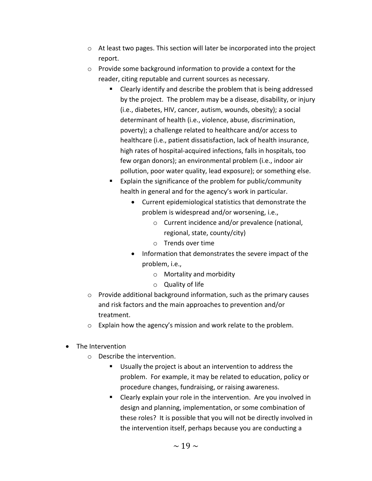- $\circ$  At least two pages. This section will later be incorporated into the project report.
- o Provide some background information to provide a context for the reader, citing reputable and current sources as necessary.
	- Clearly identify and describe the problem that is being addressed by the project. The problem may be a disease, disability, or injury (i.e., diabetes, HIV, cancer, autism, wounds, obesity); a social determinant of health (i.e., violence, abuse, discrimination, poverty); a challenge related to healthcare and/or access to healthcare (i.e., patient dissatisfaction, lack of health insurance, high rates of hospital-acquired infections, falls in hospitals, too few organ donors); an environmental problem (i.e., indoor air pollution, poor water quality, lead exposure); or something else.
	- Explain the significance of the problem for public/community health in general and for the agency's work in particular.
		- Current epidemiological statistics that demonstrate the problem is widespread and/or worsening, i.e.,
			- o Current incidence and/or prevalence (national, regional, state, county/city)
			- o Trends over time
		- Information that demonstrates the severe impact of the problem, i.e.,
			- o Mortality and morbidity
			- o Quality of life
- o Provide additional background information, such as the primary causes and risk factors and the main approaches to prevention and/or treatment.
- o Explain how the agency's mission and work relate to the problem.
- The Intervention
	- o Describe the intervention.
		- Usually the project is about an intervention to address the problem. For example, it may be related to education, policy or procedure changes, fundraising, or raising awareness.
		- **E** Clearly explain your role in the intervention. Are you involved in design and planning, implementation, or some combination of these roles? It is possible that you will not be directly involved in the intervention itself, perhaps because you are conducting a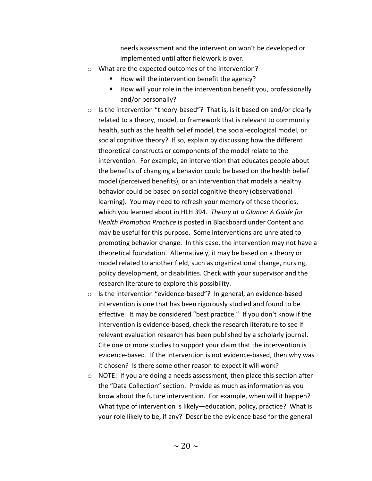needs assessment and the intervention won't be developed or implemented until after fieldwork is over.

- o What are the expected outcomes of the intervention?
	- $\blacksquare$  How will the intervention benefit the agency?
	- How will your role in the intervention benefit you, professionally and/or personally?
- o Is the intervention "theory-based"? That is, is it based on and/or clearly related to a theory, model, or framework that is relevant to community health, such as the health belief model, the social-ecological model, or social cognitive theory? If so, explain by discussing how the different theoretical constructs or components of the model relate to the intervention. For example, an intervention that educates people about the benefits of changing a behavior could be based on the health belief model (perceived benefits), or an intervention that models a healthy behavior could be based on social cognitive theory (observational learning). You may need to refresh your memory of these theories, which you learned about in HLH 394. *Theory at a Glance: A Guide for Health Promotion Practice* is posted in Blackboard under Content and may be useful for this purpose. Some interventions are unrelated to promoting behavior change. In this case, the intervention may not have a theoretical foundation. Alternatively, it may be based on a theory or model related to another field, such as organizational change, nursing, policy development, or disabilities. Check with your supervisor and the research literature to explore this possibility.
- o Is the intervention "evidence-based"? In general, an evidence-based intervention is one that has been rigorously studied and found to be effective. It may be considered "best practice." If you don't know if the intervention is evidence-based, check the research literature to see if relevant evaluation research has been published by a scholarly journal. Cite one or more studies to support your claim that the intervention is evidence-based. If the intervention is not evidence-based, then why was it chosen? Is there some other reason to expect it will work?
- o NOTE: If you are doing a needs assessment, then place this section after the "Data Collection" section. Provide as much as information as you know about the future intervention. For example, when will it happen? What type of intervention is likely—education, policy, practice? What is your role likely to be, if any? Describe the evidence base for the general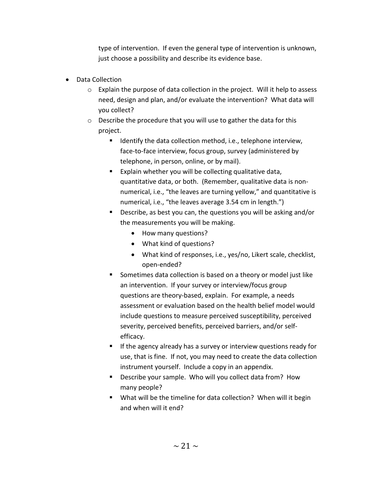type of intervention. If even the general type of intervention is unknown, just choose a possibility and describe its evidence base.

- Data Collection
	- o Explain the purpose of data collection in the project. Will it help to assess need, design and plan, and/or evaluate the intervention? What data will you collect?
	- o Describe the procedure that you will use to gather the data for this project.
		- $\blacksquare$  Identify the data collection method, i.e., telephone interview, face-to-face interview, focus group, survey (administered by telephone, in person, online, or by mail).
		- **EXPLAID WE EXPLAING WATER 15 FOR THE VIOLET I** Explain whether you will be collecting qualitative data, quantitative data, or both. (Remember, qualitative data is nonnumerical, i.e., "the leaves are turning yellow," and quantitative is numerical, i.e., "the leaves average 3.54 cm in length.")
		- Describe, as best you can, the questions you will be asking and/or the measurements you will be making.
			- How many questions?
			- What kind of questions?
			- What kind of responses, i.e., yes/no, Likert scale, checklist, open-ended?
		- Sometimes data collection is based on a theory or model just like an intervention. If your survey or interview/focus group questions are theory-based, explain. For example, a needs assessment or evaluation based on the health belief model would include questions to measure perceived susceptibility, perceived severity, perceived benefits, perceived barriers, and/or selfefficacy.
		- **If the agency already has a survey or interview questions ready for** use, that is fine. If not, you may need to create the data collection instrument yourself. Include a copy in an appendix.
		- **Describe your sample. Who will you collect data from? How** many people?
		- **What will be the timeline for data collection? When will it begin** and when will it end?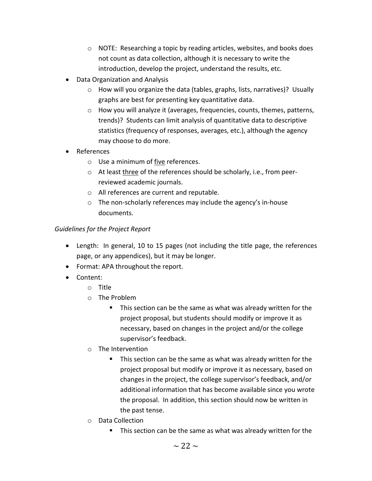- o NOTE: Researching a topic by reading articles, websites, and books does not count as data collection, although it is necessary to write the introduction, develop the project, understand the results, etc.
- Data Organization and Analysis
	- o How will you organize the data (tables, graphs, lists, narratives)? Usually graphs are best for presenting key quantitative data.
	- o How you will analyze it (averages, frequencies, counts, themes, patterns, trends)? Students can limit analysis of quantitative data to descriptive statistics (frequency of responses, averages, etc.), although the agency may choose to do more.
- References
	- o Use a minimum of five references.
	- o At least three of the references should be scholarly, i.e., from peerreviewed academic journals.
	- o All references are current and reputable.
	- o The non-scholarly references may include the agency's in-house documents.

# *Guidelines for the Project Report*

- Length: In general, 10 to 15 pages (not including the title page, the references page, or any appendices), but it may be longer.
- Format: APA throughout the report.
- Content:
	- o Title
	- o The Problem
		- This section can be the same as what was already written for the project proposal, but students should modify or improve it as necessary, based on changes in the project and/or the college supervisor's feedback.
	- o The Intervention
		- This section can be the same as what was already written for the project proposal but modify or improve it as necessary, based on changes in the project, the college supervisor's feedback, and/or additional information that has become available since you wrote the proposal. In addition, this section should now be written in the past tense.
	- o Data Collection
		- This section can be the same as what was already written for the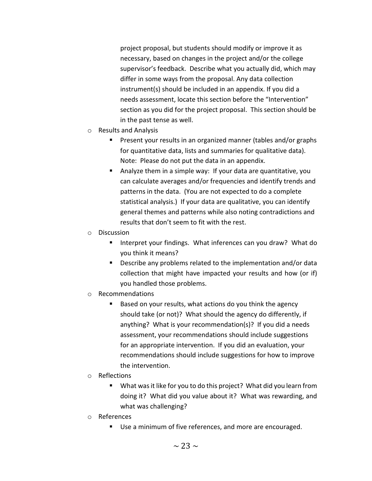project proposal, but students should modify or improve it as necessary, based on changes in the project and/or the college supervisor's feedback. Describe what you actually did, which may differ in some ways from the proposal. Any data collection instrument(s) should be included in an appendix. If you did a needs assessment, locate this section before the "Intervention" section as you did for the project proposal. This section should be in the past tense as well.

- o Results and Analysis
	- **Present your results in an organized manner (tables and/or graphs** for quantitative data, lists and summaries for qualitative data). Note: Please do not put the data in an appendix.
	- Analyze them in a simple way: If your data are quantitative, you can calculate averages and/or frequencies and identify trends and patterns in the data. (You are not expected to do a complete statistical analysis.) If your data are qualitative, you can identify general themes and patterns while also noting contradictions and results that don't seem to fit with the rest.
- o Discussion
	- **Interpret your findings. What inferences can you draw? What do** you think it means?
	- Describe any problems related to the implementation and/or data collection that might have impacted your results and how (or if) you handled those problems.
- o Recommendations
	- Based on your results, what actions do you think the agency should take (or not)? What should the agency do differently, if anything? What is your recommendation(s)? If you did a needs assessment, your recommendations should include suggestions for an appropriate intervention. If you did an evaluation, your recommendations should include suggestions for how to improve the intervention.
- o Reflections
	- What was it like for you to do this project? What did you learn from doing it? What did you value about it? What was rewarding, and what was challenging?
- o References
	- Use a minimum of five references, and more are encouraged.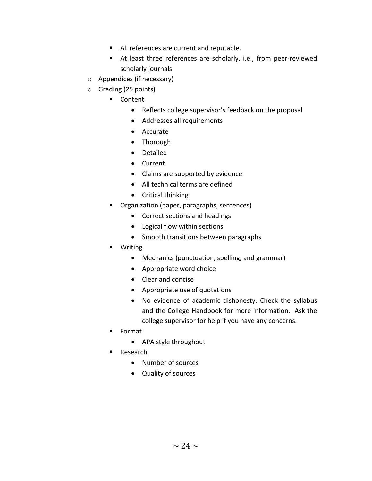- All references are current and reputable.
- At least three references are scholarly, i.e., from peer-reviewed scholarly journals
- o Appendices (if necessary)
- o Grading (25 points)
	- Content
		- Reflects college supervisor's feedback on the proposal
		- Addresses all requirements
		- Accurate
		- Thorough
		- Detailed
		- Current
		- Claims are supported by evidence
		- All technical terms are defined
		- Critical thinking
	- **•** Organization (paper, paragraphs, sentences)
		- Correct sections and headings
		- Logical flow within sections
		- Smooth transitions between paragraphs
	- Writing
		- Mechanics (punctuation, spelling, and grammar)
		- Appropriate word choice
		- Clear and concise
		- Appropriate use of quotations
		- No evidence of academic dishonesty. Check the syllabus and the College Handbook for more information. Ask the college supervisor for help if you have any concerns.
	- **Format** 
		- APA style throughout
	- **Research** 
		- Number of sources
		- Quality of sources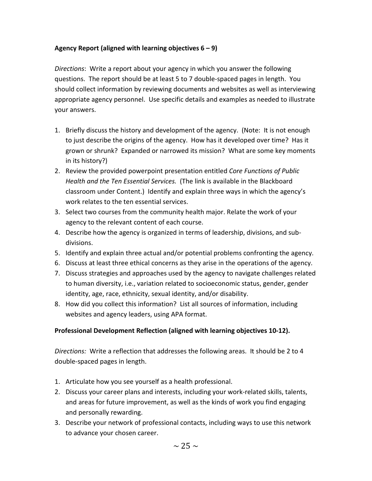# **Agency Report (aligned with learning objectives 6 – 9)**

*Directions*: Write a report about your agency in which you answer the following questions. The report should be at least 5 to 7 double-spaced pages in length. You should collect information by reviewing documents and websites as well as interviewing appropriate agency personnel. Use specific details and examples as needed to illustrate your answers.

- 1. Briefly discuss the history and development of the agency. (Note: It is not enough to just describe the origins of the agency. How has it developed over time? Has it grown or shrunk? Expanded or narrowed its mission? What are some key moments in its history?)
- 2. Review the provided powerpoint presentation entitled *Core Functions of Public Health and the Ten Essential Services.* (The link is available in the Blackboard classroom under Content.) Identify and explain three ways in which the agency's work relates to the ten essential services.
- 3. Select two courses from the community health major. Relate the work of your agency to the relevant content of each course.
- 4. Describe how the agency is organized in terms of leadership, divisions, and subdivisions.
- 5. Identify and explain three actual and/or potential problems confronting the agency.
- 6. Discuss at least three ethical concerns as they arise in the operations of the agency.
- 7. Discuss strategies and approaches used by the agency to navigate challenges related to human diversity, i.e., variation related to socioeconomic status, gender, gender identity, age, race, ethnicity, sexual identity, and/or disability.
- 8. How did you collect this information? List all sources of information, including websites and agency leaders, using APA format.

# **Professional Development Reflection (aligned with learning objectives 10-12).**

*Directions:* Write a reflection that addresses the following areas. It should be 2 to 4 double-spaced pages in length.

- 1. Articulate how you see yourself as a health professional.
- 2. Discuss your career plans and interests, including your work-related skills, talents, and areas for future improvement, as well as the kinds of work you find engaging and personally rewarding.
- 3. Describe your network of professional contacts, including ways to use this network to advance your chosen career.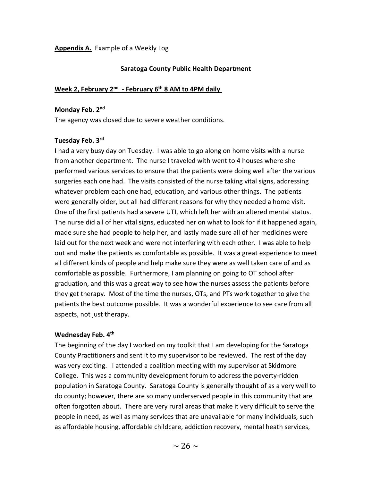## **Appendix A.** Example of a Weekly Log

### **Saratoga County Public Health Department**

#### **Week 2, February 2nd - February 6th 8 AM to 4PM daily**

#### **Monday Feb. 2nd**

The agency was closed due to severe weather conditions.

#### **Tuesday Feb. 3rd**

I had a very busy day on Tuesday. I was able to go along on home visits with a nurse from another department. The nurse I traveled with went to 4 houses where she performed various services to ensure that the patients were doing well after the various surgeries each one had. The visits consisted of the nurse taking vital signs, addressing whatever problem each one had, education, and various other things. The patients were generally older, but all had different reasons for why they needed a home visit. One of the first patients had a severe UTI, which left her with an altered mental status. The nurse did all of her vital signs, educated her on what to look for if it happened again, made sure she had people to help her, and lastly made sure all of her medicines were laid out for the next week and were not interfering with each other. I was able to help out and make the patients as comfortable as possible. It was a great experience to meet all different kinds of people and help make sure they were as well taken care of and as comfortable as possible. Furthermore, I am planning on going to OT school after graduation, and this was a great way to see how the nurses assess the patients before they get therapy. Most of the time the nurses, OTs, and PTs work together to give the patients the best outcome possible. It was a wonderful experience to see care from all aspects, not just therapy.

#### **Wednesday Feb. 4th**

The beginning of the day I worked on my toolkit that I am developing for the Saratoga County Practitioners and sent it to my supervisor to be reviewed. The rest of the day was very exciting. I attended a coalition meeting with my supervisor at Skidmore College. This was a community development forum to address the poverty-ridden population in Saratoga County. Saratoga County is generally thought of as a very well to do county; however, there are so many underserved people in this community that are often forgotten about. There are very rural areas that make it very difficult to serve the people in need, as well as many services that are unavailable for many individuals, such as affordable housing, affordable childcare, addiction recovery, mental heath services,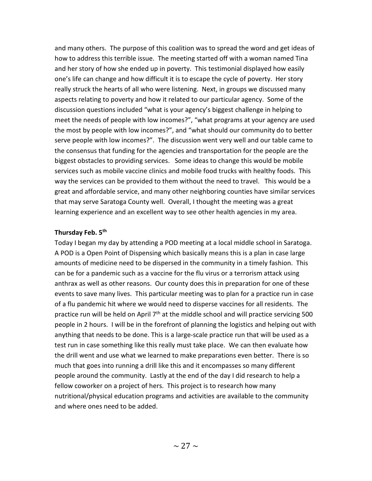and many others. The purpose of this coalition was to spread the word and get ideas of how to address this terrible issue. The meeting started off with a woman named Tina and her story of how she ended up in poverty. This testimonial displayed how easily one's life can change and how difficult it is to escape the cycle of poverty. Her story really struck the hearts of all who were listening. Next, in groups we discussed many aspects relating to poverty and how it related to our particular agency. Some of the discussion questions included "what is your agency's biggest challenge in helping to meet the needs of people with low incomes?", "what programs at your agency are used the most by people with low incomes?", and "what should our community do to better serve people with low incomes?". The discussion went very well and our table came to the consensus that funding for the agencies and transportation for the people are the biggest obstacles to providing services. Some ideas to change this would be mobile services such as mobile vaccine clinics and mobile food trucks with healthy foods. This way the services can be provided to them without the need to travel. This would be a great and affordable service, and many other neighboring counties have similar services that may serve Saratoga County well. Overall, I thought the meeting was a great learning experience and an excellent way to see other health agencies in my area.

## **Thursday Feb. 5th**

Today I began my day by attending a POD meeting at a local middle school in Saratoga. A POD is a Open Point of Dispensing which basically means this is a plan in case large amounts of medicine need to be dispersed in the community in a timely fashion. This can be for a pandemic such as a vaccine for the flu virus or a terrorism attack using anthrax as well as other reasons. Our county does this in preparation for one of these events to save many lives. This particular meeting was to plan for a practice run in case of a flu pandemic hit where we would need to disperse vaccines for all residents. The practice run will be held on April 7<sup>th</sup> at the middle school and will practice servicing 500 people in 2 hours. I will be in the forefront of planning the logistics and helping out with anything that needs to be done. This is a large-scale practice run that will be used as a test run in case something like this really must take place. We can then evaluate how the drill went and use what we learned to make preparations even better. There is so much that goes into running a drill like this and it encompasses so many different people around the community. Lastly at the end of the day I did research to help a fellow coworker on a project of hers. This project is to research how many nutritional/physical education programs and activities are available to the community and where ones need to be added.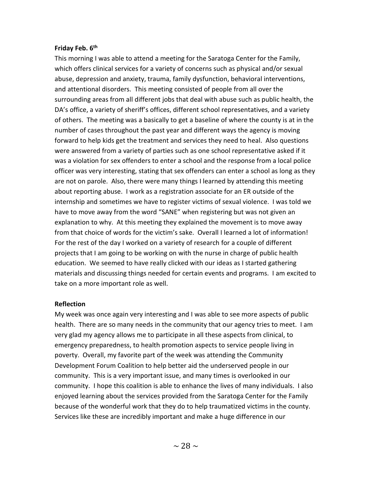## **Friday Feb. 6th**

This morning I was able to attend a meeting for the Saratoga Center for the Family, which offers clinical services for a variety of concerns such as physical and/or sexual abuse, depression and anxiety, trauma, family dysfunction, behavioral interventions, and attentional disorders. This meeting consisted of people from all over the surrounding areas from all different jobs that deal with abuse such as public health, the DA's office, a variety of sheriff's offices, different school representatives, and a variety of others. The meeting was a basically to get a baseline of where the county is at in the number of cases throughout the past year and different ways the agency is moving forward to help kids get the treatment and services they need to heal. Also questions were answered from a variety of parties such as one school representative asked if it was a violation for sex offenders to enter a school and the response from a local police officer was very interesting, stating that sex offenders can enter a school as long as they are not on parole. Also, there were many things I learned by attending this meeting about reporting abuse. I work as a registration associate for an ER outside of the internship and sometimes we have to register victims of sexual violence. I was told we have to move away from the word "SANE" when registering but was not given an explanation to why. At this meeting they explained the movement is to move away from that choice of words for the victim's sake. Overall I learned a lot of information! For the rest of the day I worked on a variety of research for a couple of different projects that I am going to be working on with the nurse in charge of public health education. We seemed to have really clicked with our ideas as I started gathering materials and discussing things needed for certain events and programs. I am excited to take on a more important role as well.

## **Reflection**

My week was once again very interesting and I was able to see more aspects of public health. There are so many needs in the community that our agency tries to meet. I am very glad my agency allows me to participate in all these aspects from clinical, to emergency preparedness, to health promotion aspects to service people living in poverty. Overall, my favorite part of the week was attending the Community Development Forum Coalition to help better aid the underserved people in our community. This is a very important issue, and many times is overlooked in our community. I hope this coalition is able to enhance the lives of many individuals. I also enjoyed learning about the services provided from the Saratoga Center for the Family because of the wonderful work that they do to help traumatized victims in the county. Services like these are incredibly important and make a huge difference in our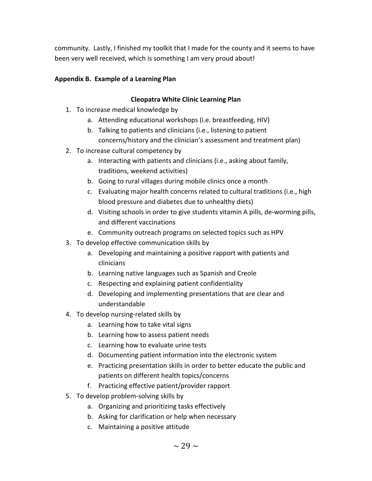community. Lastly, I finished my toolkit that I made for the county and it seems to have been very well received, which is something I am very proud about!

# **Appendix B. Example of a Learning Plan**

# **Cleopatra White Clinic Learning Plan**

- 1. To increase medical knowledge by
	- a. Attending educational workshops (i.e. breastfeeding, HIV)
	- b. Talking to patients and clinicians (i.e., listening to patient concerns/history and the clinician's assessment and treatment plan)
- 2. To increase cultural competency by
	- a. Interacting with patients and clinicians (i.e., asking about family, traditions, weekend activities)
	- b. Going to rural villages during mobile clinics once a month
	- c. Evaluating major health concerns related to cultural traditions (i.e., high blood pressure and diabetes due to unhealthy diets)
	- d. Visiting schools in order to give students vitamin A pills, de-worming pills, and different vaccinations
	- e. Community outreach programs on selected topics such as HPV
- 3. To develop effective communication skills by
	- a. Developing and maintaining a positive rapport with patients and clinicians
	- b. Learning native languages such as Spanish and Creole
	- c. Respecting and explaining patient confidentiality
	- d. Developing and implementing presentations that are clear and understandable
- 4. To develop nursing-related skills by
	- a. Learning how to take vital signs
	- b. Learning how to assess patient needs
	- c. Learning how to evaluate urine tests
	- d. Documenting patient information into the electronic system
	- e. Practicing presentation skills in order to better educate the public and patients on different health topics/concerns
	- f. Practicing effective patient/provider rapport
- 5. To develop problem-solving skills by
	- a. Organizing and prioritizing tasks effectively
	- b. Asking for clarification or help when necessary
	- c. Maintaining a positive attitude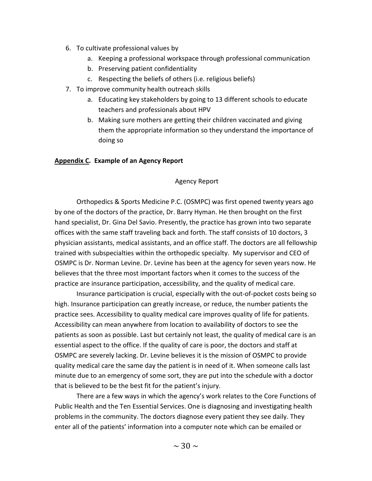- 6. To cultivate professional values by
	- a. Keeping a professional workspace through professional communication
	- b. Preserving patient confidentiality
	- c. Respecting the beliefs of others (i.e. religious beliefs)
- 7. To improve community health outreach skills
	- a. Educating key stakeholders by going to 13 different schools to educate teachers and professionals about HPV
	- b. Making sure mothers are getting their children vaccinated and giving them the appropriate information so they understand the importance of doing so

## **Appendix C. Example of an Agency Report**

## Agency Report

Orthopedics & Sports Medicine P.C. (OSMPC) was first opened twenty years ago by one of the doctors of the practice, Dr. Barry Hyman. He then brought on the first hand specialist, Dr. Gina Del Savio. Presently, the practice has grown into two separate offices with the same staff traveling back and forth. The staff consists of 10 doctors, 3 physician assistants, medical assistants, and an office staff. The doctors are all fellowship trained with subspecialties within the orthopedic specialty. My supervisor and CEO of OSMPC is Dr. Norman Levine. Dr. Levine has been at the agency for seven years now. He believes that the three most important factors when it comes to the success of the practice are insurance participation, accessibility, and the quality of medical care.

Insurance participation is crucial, especially with the out-of-pocket costs being so high. Insurance participation can greatly increase, or reduce, the number patients the practice sees. Accessibility to quality medical care improves quality of life for patients. Accessibility can mean anywhere from location to availability of doctors to see the patients as soon as possible. Last but certainly not least, the quality of medical care is an essential aspect to the office. If the quality of care is poor, the doctors and staff at OSMPC are severely lacking. Dr. Levine believes it is the mission of OSMPC to provide quality medical care the same day the patient is in need of it. When someone calls last minute due to an emergency of some sort, they are put into the schedule with a doctor that is believed to be the best fit for the patient's injury.

There are a few ways in which the agency's work relates to the Core Functions of Public Health and the Ten Essential Services. One is diagnosing and investigating health problems in the community. The doctors diagnose every patient they see daily. They enter all of the patients' information into a computer note which can be emailed or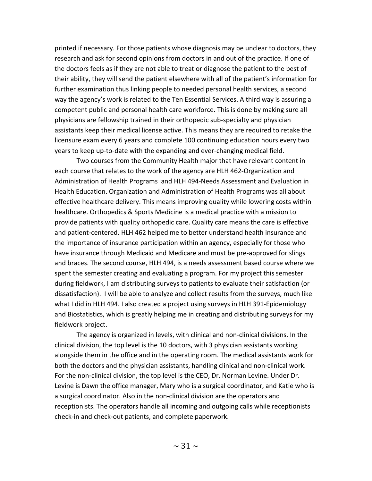printed if necessary. For those patients whose diagnosis may be unclear to doctors, they research and ask for second opinions from doctors in and out of the practice. If one of the doctors feels as if they are not able to treat or diagnose the patient to the best of their ability, they will send the patient elsewhere with all of the patient's information for further examination thus linking people to needed personal health services, a second way the agency's work is related to the Ten Essential Services. A third way is assuring a competent public and personal health care workforce. This is done by making sure all physicians are fellowship trained in their orthopedic sub-specialty and physician assistants keep their medical license active. This means they are required to retake the licensure exam every 6 years and complete 100 continuing education hours every two years to keep up-to-date with the expanding and ever-changing medical field.

Two courses from the Community Health major that have relevant content in each course that relates to the work of the agency are HLH 462-Organization and Administration of Health Programs and HLH 494-Needs Assessment and Evaluation in Health Education. Organization and Administration of Health Programs was all about effective healthcare delivery. This means improving quality while lowering costs within healthcare. Orthopedics & Sports Medicine is a medical practice with a mission to provide patients with quality orthopedic care. Quality care means the care is effective and patient-centered. HLH 462 helped me to better understand health insurance and the importance of insurance participation within an agency, especially for those who have insurance through Medicaid and Medicare and must be pre-approved for slings and braces. The second course, HLH 494, is a needs assessment based course where we spent the semester creating and evaluating a program. For my project this semester during fieldwork, I am distributing surveys to patients to evaluate their satisfaction (or dissatisfaction). I will be able to analyze and collect results from the surveys, much like what I did in HLH 494. I also created a project using surveys in HLH 391-Epidemiology and Biostatistics, which is greatly helping me in creating and distributing surveys for my fieldwork project.

The agency is organized in levels, with clinical and non-clinical divisions. In the clinical division, the top level is the 10 doctors, with 3 physician assistants working alongside them in the office and in the operating room. The medical assistants work for both the doctors and the physician assistants, handling clinical and non-clinical work. For the non-clinical division, the top level is the CEO, Dr. Norman Levine. Under Dr. Levine is Dawn the office manager, Mary who is a surgical coordinator, and Katie who is a surgical coordinator. Also in the non-clinical division are the operators and receptionists. The operators handle all incoming and outgoing calls while receptionists check-in and check-out patients, and complete paperwork.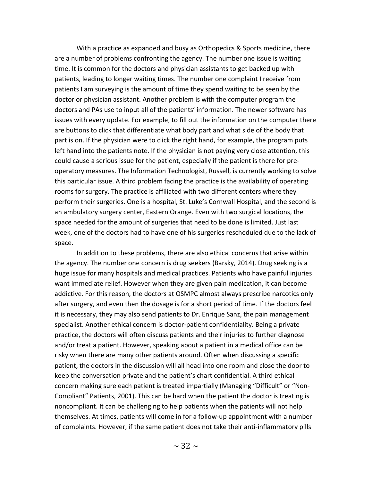With a practice as expanded and busy as Orthopedics & Sports medicine, there are a number of problems confronting the agency. The number one issue is waiting time. It is common for the doctors and physician assistants to get backed up with patients, leading to longer waiting times. The number one complaint I receive from patients I am surveying is the amount of time they spend waiting to be seen by the doctor or physician assistant. Another problem is with the computer program the doctors and PAs use to input all of the patients' information. The newer software has issues with every update. For example, to fill out the information on the computer there are buttons to click that differentiate what body part and what side of the body that part is on. If the physician were to click the right hand, for example, the program puts left hand into the patients note. If the physician is not paying very close attention, this could cause a serious issue for the patient, especially if the patient is there for preoperatory measures. The Information Technologist, Russell, is currently working to solve this particular issue. A third problem facing the practice is the availability of operating rooms for surgery. The practice is affiliated with two different centers where they perform their surgeries. One is a hospital, St. Luke's Cornwall Hospital, and the second is an ambulatory surgery center, Eastern Orange. Even with two surgical locations, the space needed for the amount of surgeries that need to be done is limited. Just last week, one of the doctors had to have one of his surgeries rescheduled due to the lack of space.

In addition to these problems, there are also ethical concerns that arise within the agency. The number one concern is drug seekers (Barsky, 2014). Drug seeking is a huge issue for many hospitals and medical practices. Patients who have painful injuries want immediate relief. However when they are given pain medication, it can become addictive. For this reason, the doctors at OSMPC almost always prescribe narcotics only after surgery, and even then the dosage is for a short period of time. If the doctors feel it is necessary, they may also send patients to Dr. Enrique Sanz, the pain management specialist. Another ethical concern is doctor-patient confidentiality. Being a private practice, the doctors will often discuss patients and their injuries to further diagnose and/or treat a patient. However, speaking about a patient in a medical office can be risky when there are many other patients around. Often when discussing a specific patient, the doctors in the discussion will all head into one room and close the door to keep the conversation private and the patient's chart confidential. A third ethical concern making sure each patient is treated impartially (Managing "Difficult" or "Non-Compliant" Patients, 2001). This can be hard when the patient the doctor is treating is noncompliant. It can be challenging to help patients when the patients will not help themselves. At times, patients will come in for a follow-up appointment with a number of complaints. However, if the same patient does not take their anti-inflammatory pills